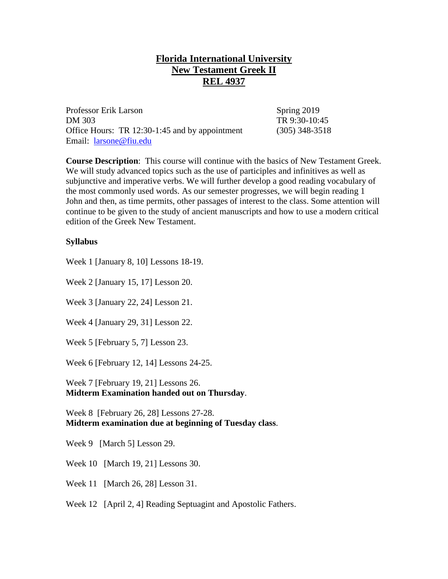## **Florida International University New Testament Greek II REL 4937**

Professor Erik Larson Spring 2019 DM 303 TR 9:30-10:45 Office Hours: TR 12:30-1:45 and by appointment (305) 348-3518 Email: [larsone@fiu.edu](mailto:larsone@fiu.edu)

**Course Description**: This course will continue with the basics of New Testament Greek. We will study advanced topics such as the use of participles and infinitives as well as subjunctive and imperative verbs. We will further develop a good reading vocabulary of the most commonly used words. As our semester progresses, we will begin reading 1 John and then, as time permits, other passages of interest to the class. Some attention will continue to be given to the study of ancient manuscripts and how to use a modern critical edition of the Greek New Testament.

## **Syllabus**

Week 1 [January 8, 10] Lessons 18-19.

Week 2 [January 15, 17] Lesson 20.

Week 3 [January 22, 24] Lesson 21.

Week 4 [January 29, 31] Lesson 22.

Week 5 [February 5, 7] Lesson 23.

Week 6 [February 12, 14] Lessons 24-25.

Week 7 [February 19, 21] Lessons 26. **Midterm Examination handed out on Thursday**.

Week 8 [February 26, 28] Lessons 27-28. **Midterm examination due at beginning of Tuesday class**.

Week 9 [March 5] Lesson 29.

Week 10 [March 19, 21] Lessons 30.

Week 11 [March 26, 28] Lesson 31.

Week 12 [April 2, 4] Reading Septuagint and Apostolic Fathers.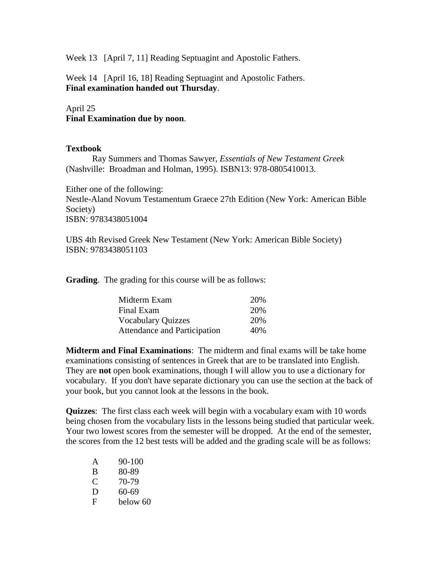Week 13 [April 7, 11] Reading Septuagint and Apostolic Fathers.

Week 14 [April 16, 18] Reading Septuagint and Apostolic Fathers. **Final examination handed out Thursday**.

## April 25

**Final Examination due by noon**.

## **Textbook**

Ray Summers and Thomas Sawyer, *Essentials of New Testament Greek*  (Nashville: Broadman and Holman, 1995). ISBN13: 978-0805410013.

Either one of the following: Nestle-Aland Novum Testamentum Graece 27th Edition (New York: American Bible Society) ISBN: 9783438051004

UBS 4th Revised Greek New Testament (New York: American Bible Society) ISBN: 9783438051103

**Grading**. The grading for this course will be as follows:

| Midterm Exam                 | 20\% |
|------------------------------|------|
| Final Exam                   | 20%  |
| <b>Vocabulary Quizzes</b>    | 20\% |
| Attendance and Participation | 40\% |

**Midterm and Final Examinations**: The midterm and final exams will be take home examinations consisting of sentences in Greek that are to be translated into English. They are **not** open book examinations, though I will allow you to use a dictionary for vocabulary. If you don't have separate dictionary you can use the section at the back of your book, but you cannot look at the lessons in the book.

**Quizzes**: The first class each week will begin with a vocabulary exam with 10 words being chosen from the vocabulary lists in the lessons being studied that particular week. Your two lowest scores from the semester will be dropped. At the end of the semester, the scores from the 12 best tests will be added and the grading scale will be as follows:

| A | $90 - 100$ |
|---|------------|
| B | 80-89      |
| C | 70-79      |
| D | 60-69      |
| F | below 60   |